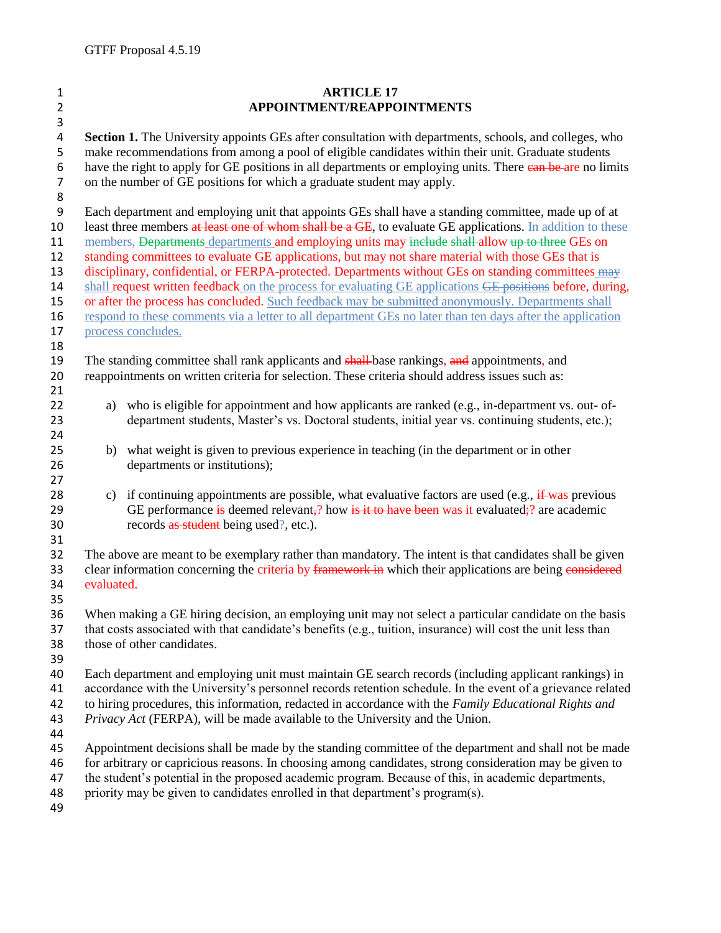| $\mathbf{1}$            | <b>ARTICLE 17</b>                                                                                            |                                                                                                                |
|-------------------------|--------------------------------------------------------------------------------------------------------------|----------------------------------------------------------------------------------------------------------------|
| $\overline{2}$          | APPOINTMENT/REAPPOINTMENTS                                                                                   |                                                                                                                |
| 3                       |                                                                                                              |                                                                                                                |
| $\overline{\mathbf{4}}$ | Section 1. The University appoints GEs after consultation with departments, schools, and colleges, who       |                                                                                                                |
| 5                       | make recommendations from among a pool of eligible candidates within their unit. Graduate students           |                                                                                                                |
| $\boldsymbol{6}$        | have the right to apply for GE positions in all departments or employing units. There can be are no limits   |                                                                                                                |
| $\boldsymbol{7}$        | on the number of GE positions for which a graduate student may apply.                                        |                                                                                                                |
| $\bf 8$                 |                                                                                                              |                                                                                                                |
| $\boldsymbol{9}$        | Each department and employing unit that appoints GEs shall have a standing committee, made up of at          |                                                                                                                |
| 10                      | least three members at least one of whom shall be a GE, to evaluate GE applications. In addition to these    |                                                                                                                |
| 11                      | members, Departments departments and employing units may include shall-allow up to three GEs on              |                                                                                                                |
| 12                      | standing committees to evaluate GE applications, but may not share material with those GEs that is           |                                                                                                                |
| 13                      | disciplinary, confidential, or FERPA-protected. Departments without GEs on standing committees may           |                                                                                                                |
| 14                      | shall request written feedback on the process for evaluating GE applications GE positions before, during,    |                                                                                                                |
| 15                      | or after the process has concluded. Such feedback may be submitted anonymously. Departments shall            |                                                                                                                |
| 16                      | respond to these comments via a letter to all department GEs no later than ten days after the application    |                                                                                                                |
| 17                      | process concludes.                                                                                           |                                                                                                                |
| 18                      |                                                                                                              |                                                                                                                |
| 19                      | The standing committee shall rank applicants and shall-base rankings, and appointments, and                  |                                                                                                                |
| 20                      |                                                                                                              | reappointments on written criteria for selection. These criteria should address issues such as:                |
| 21                      |                                                                                                              |                                                                                                                |
| 22                      | a)                                                                                                           | who is eligible for appointment and how applicants are ranked (e.g., in-department vs. out- of-                |
| 23                      |                                                                                                              | department students, Master's vs. Doctoral students, initial year vs. continuing students, etc.);              |
| 24                      |                                                                                                              |                                                                                                                |
| 25                      |                                                                                                              | b) what weight is given to previous experience in teaching (in the department or in other                      |
| 26<br>27                |                                                                                                              | departments or institutions);                                                                                  |
| 28                      |                                                                                                              | c) if continuing appointments are possible, what evaluative factors are used (e.g., $\frac{f}{f}$ was previous |
| 29                      |                                                                                                              | GE performance is deemed relevant,? how is it to have been was it evaluated;? are academic                     |
| 30                      |                                                                                                              | records as student being used?, etc.).                                                                         |
| 31                      |                                                                                                              |                                                                                                                |
| 32                      | The above are meant to be exemplary rather than mandatory. The intent is that candidates shall be given      |                                                                                                                |
| 33                      | clear information concerning the criteria by framework in which their applications are being considered      |                                                                                                                |
| 34                      | evaluated.                                                                                                   |                                                                                                                |
| 35                      |                                                                                                              |                                                                                                                |
| 36                      | When making a GE hiring decision, an employing unit may not select a particular candidate on the basis       |                                                                                                                |
| 37                      | that costs associated with that candidate's benefits (e.g., tuition, insurance) will cost the unit less than |                                                                                                                |
| 38                      | those of other candidates.                                                                                   |                                                                                                                |
| 39                      |                                                                                                              |                                                                                                                |
| 40                      | Each department and employing unit must maintain GE search records (including applicant rankings) in         |                                                                                                                |
| 41                      | accordance with the University's personnel records retention schedule. In the event of a grievance related   |                                                                                                                |
| 42                      | to hiring procedures, this information, redacted in accordance with the Family Educational Rights and        |                                                                                                                |
| 43                      | Privacy Act (FERPA), will be made available to the University and the Union.                                 |                                                                                                                |
| 44                      |                                                                                                              |                                                                                                                |
| 45                      | Appointment decisions shall be made by the standing committee of the department and shall not be made        |                                                                                                                |
| 46                      | for arbitrary or capricious reasons. In choosing among candidates, strong consideration may be given to      |                                                                                                                |
| 47                      | the student's potential in the proposed academic program. Because of this, in academic departments,          |                                                                                                                |
| 48                      |                                                                                                              | priority may be given to candidates enrolled in that department's program(s).                                  |
| 49                      |                                                                                                              |                                                                                                                |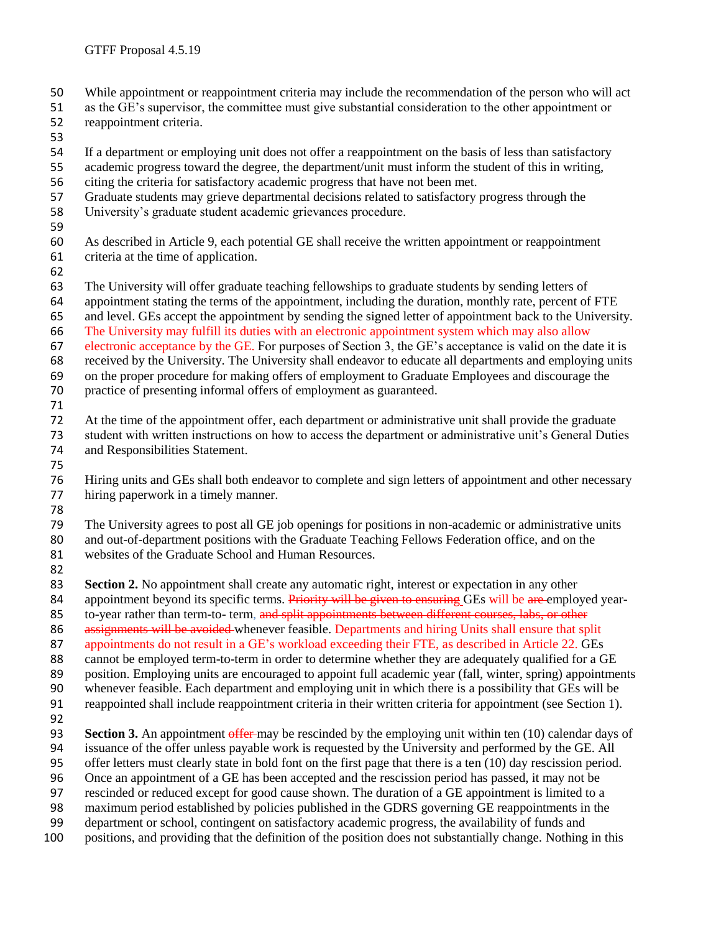- While appointment or reappointment criteria may include the recommendation of the person who will act
- as the GE's supervisor, the committee must give substantial consideration to the other appointment or reappointment criteria.
- 
- If a department or employing unit does not offer a reappointment on the basis of less than satisfactory
- academic progress toward the degree, the department/unit must inform the student of this in writing, citing the criteria for satisfactory academic progress that have not been met.
- 
- Graduate students may grieve departmental decisions related to satisfactory progress through the
- University's graduate student academic grievances procedure.
- 
- As described in Article 9, each potential GE shall receive the written appointment or reappointment criteria at the time of application.
- 

The University will offer graduate teaching fellowships to graduate students by sending letters of

- appointment stating the terms of the appointment, including the duration, monthly rate, percent of FTE
- and level. GEs accept the appointment by sending the signed letter of appointment back to the University.
- The University may fulfill its duties with an electronic appointment system which may also allow
- electronic acceptance by the GE. For purposes of Section 3, the GE's acceptance is valid on the date it is
- received by the University. The University shall endeavor to educate all departments and employing units
- on the proper procedure for making offers of employment to Graduate Employees and discourage the practice of presenting informal offers of employment as guaranteed.
- 
- At the time of the appointment offer, each department or administrative unit shall provide the graduate student with written instructions on how to access the department or administrative unit's General Duties and Responsibilities Statement.
- 

 Hiring units and GEs shall both endeavor to complete and sign letters of appointment and other necessary hiring paperwork in a timely manner.

The University agrees to post all GE job openings for positions in non-academic or administrative units and out-of-department positions with the Graduate Teaching Fellows Federation office, and on the websites of the Graduate School and Human Resources.

82<br>83 **Section 2.** No appointment shall create any automatic right, interest or expectation in any other

84 appointment beyond its specific terms. Priority will be given to ensuring GEs will be are employed year-85 to-year rather than term-to- term, and split appointments between different courses, labs, or other

86 assignments will be avoided whenever feasible. Departments and hiring Units shall ensure that split

appointments do not result in a GE's workload exceeding their FTE, as described in Article 22. GEs

- cannot be employed term-to-term in order to determine whether they are adequately qualified for a GE
- position. Employing units are encouraged to appoint full academic year (fall, winter, spring) appointments
- whenever feasible. Each department and employing unit in which there is a possibility that GEs will be
- reappointed shall include reappointment criteria in their written criteria for appointment (see Section 1).
- 

**Section 3.** An appointment offer may be rescinded by the employing unit within ten (10) calendar days of

- issuance of the offer unless payable work is requested by the University and performed by the GE. All
- offer letters must clearly state in bold font on the first page that there is a ten (10) day rescission period.
- Once an appointment of a GE has been accepted and the rescission period has passed, it may not be
- rescinded or reduced except for good cause shown. The duration of a GE appointment is limited to a
- 98 maximum period established by policies published in the GDRS governing GE reappointments in the department or school, contingent on satisfactory academic progress, the availability of funds and department or school, contingent on satisfactory academic progress, the availability of funds and
- positions, and providing that the definition of the position does not substantially change. Nothing in this